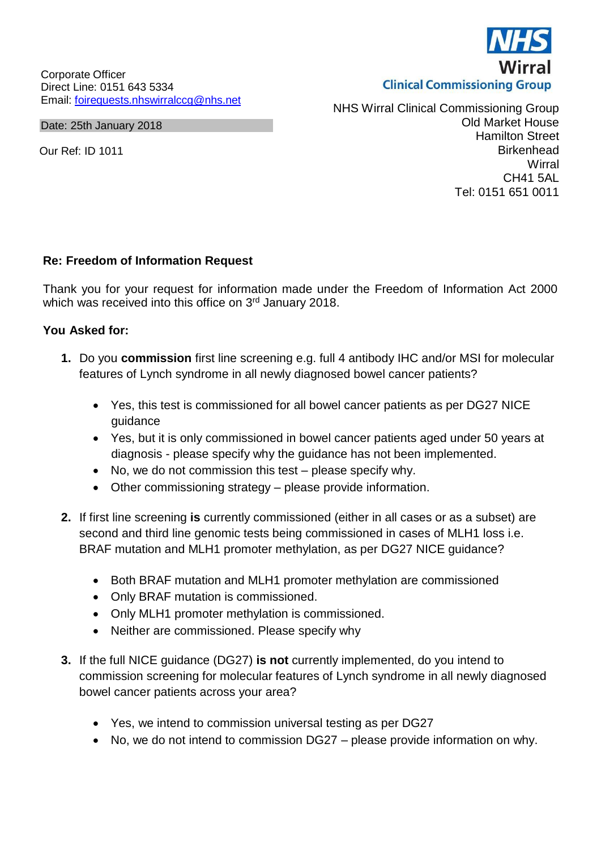Corporate Officer Direct Line: 0151 643 5334 Email: [foirequests.nhswirralccg@nhs.net](mailto:foirequests.nhswirralccg@nhs.net)

Date: 25th January 2018

Our Ref: ID 1011

NHS Wirral Clinical Commissioning Group Old Market House Hamilton Street **Birkenhead Wirral** CH41 5AL Tel: 0151 651 0011

## **Re: Freedom of Information Request**

Thank you for your request for information made under the Freedom of Information Act 2000 which was received into this office on 3<sup>rd</sup> January 2018.

## **You Asked for:**

- **1.** Do you **commission** first line screening e.g. full 4 antibody IHC and/or MSI for molecular features of Lynch syndrome in all newly diagnosed bowel cancer patients?
	- Yes, this test is commissioned for all bowel cancer patients as per DG27 NICE guidance
	- Yes, but it is only commissioned in bowel cancer patients aged under 50 years at diagnosis - please specify why the guidance has not been implemented.
	- No, we do not commission this test please specify why.
	- Other commissioning strategy please provide information.
- **2.** If first line screening **is** currently commissioned (either in all cases or as a subset) are second and third line genomic tests being commissioned in cases of MLH1 loss i.e. BRAF mutation and MLH1 promoter methylation, as per DG27 NICE guidance?
	- Both BRAF mutation and MLH1 promoter methylation are commissioned
	- Only BRAF mutation is commissioned.
	- Only MLH1 promoter methylation is commissioned.
	- Neither are commissioned. Please specify why
- **3.** If the full NICE guidance (DG27) **is not** currently implemented, do you intend to commission screening for molecular features of Lynch syndrome in all newly diagnosed bowel cancer patients across your area?
	- Yes, we intend to commission universal testing as per DG27
	- No, we do not intend to commission DG27 please provide information on why.

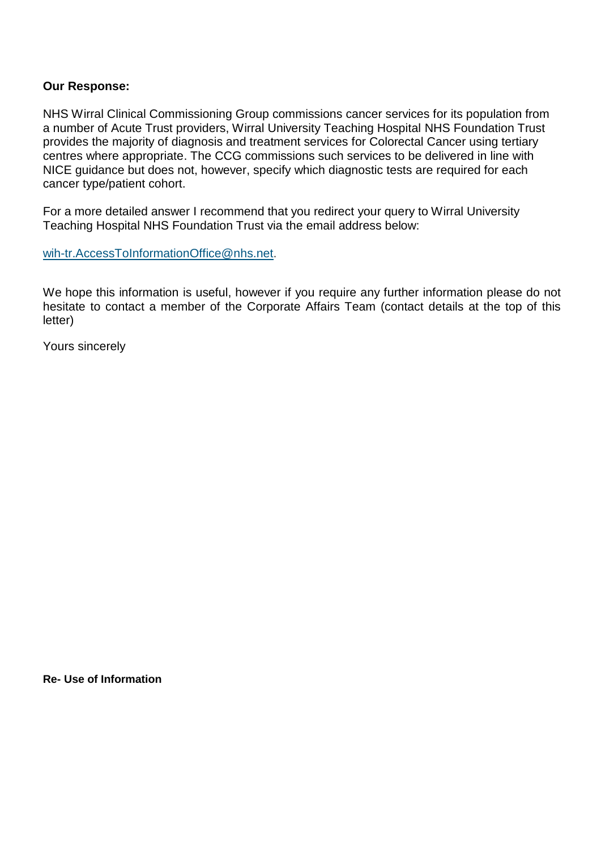## **Our Response:**

NHS Wirral Clinical Commissioning Group commissions cancer services for its population from a number of Acute Trust providers, Wirral University Teaching Hospital NHS Foundation Trust provides the majority of diagnosis and treatment services for Colorectal Cancer using tertiary centres where appropriate. The CCG commissions such services to be delivered in line with NICE guidance but does not, however, specify which diagnostic tests are required for each cancer type/patient cohort.

For a more detailed answer I recommend that you redirect your query to Wirral University Teaching Hospital NHS Foundation Trust via the email address below:

[wih-tr.AccessToInformationOffice@nhs.net.](mailto:wih-tr.AccessToInformationOffice@nhs.net)

We hope this information is useful, however if you require any further information please do not hesitate to contact a member of the Corporate Affairs Team (contact details at the top of this letter)

Yours sincerely

**Re- Use of Information**